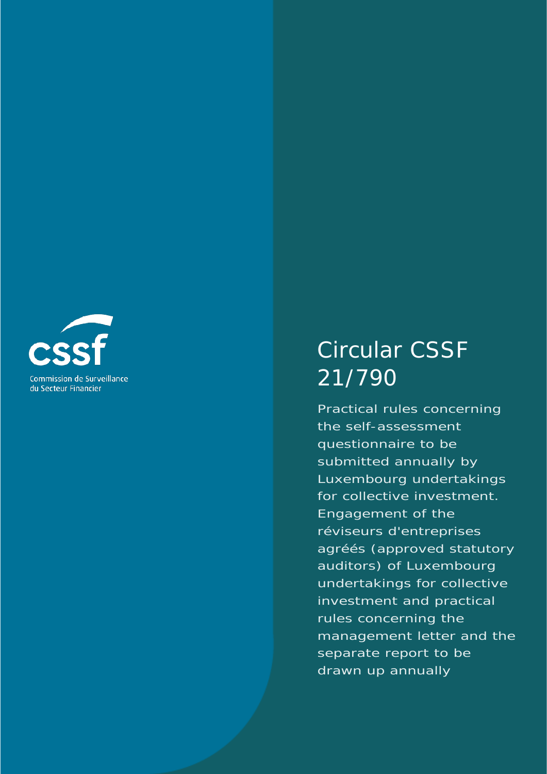

# Circular CSSF 21/790

Practical rules concerning the self-assessment questionnaire to be submitted annually by Luxembourg undertakings for collective investment. Engagement of the *réviseurs d'entreprises agréés* (approved statutory auditors) of Luxembourg undertakings for collective investment and practical rules concerning the management letter and the separate report to be drawn up annually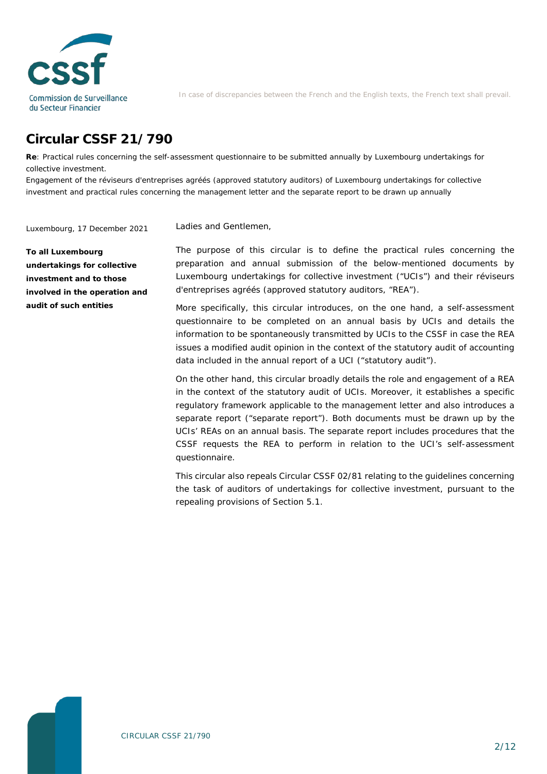

In case of discrepancies between the French and the English texts, the French text shall prevail.

# **Circular CSSF 21/790**

**Re**: Practical rules concerning the self-assessment questionnaire to be submitted annually by Luxembourg undertakings for collective investment.

Engagement of the *réviseurs d'entreprises agréés* (approved statutory auditors) of Luxembourg undertakings for collective investment and practical rules concerning the management letter and the separate report to be drawn up annually

Ladies and Gentlemen,

Luxembourg, 17 December 2021

**To all Luxembourg undertakings for collective investment and to those involved in the operation and audit of such entities**

The purpose of this circular is to define the practical rules concerning the preparation and annual submission of the below-mentioned documents by Luxembourg undertakings for collective investment ("UCIs") and their *réviseurs d'entreprises agréés* (approved statutory auditors, "REA").

More specifically, this circular introduces, on the one hand, a self-assessment questionnaire to be completed on an annual basis by UCIs and details the information to be spontaneously transmitted by UCIs to the CSSF in case the REA issues a modified audit opinion in the context of the statutory audit of accounting data included in the annual report of a UCI ("statutory audit").

On the other hand, this circular broadly details the role and engagement of a REA in the context of the statutory audit of UCIs. Moreover, it establishes a specific regulatory framework applicable to the management letter and also introduces a separate report ("separate report"). Both documents must be drawn up by the UCIs' REAs on an annual basis. The separate report includes procedures that the CSSF requests the REA to perform in relation to the UCI's self-assessment questionnaire.

This circular also repeals Circular CSSF 02/81 relating to the guidelines concerning the task of auditors of undertakings for collective investment, pursuant to the repealing provisions of Section 5.1.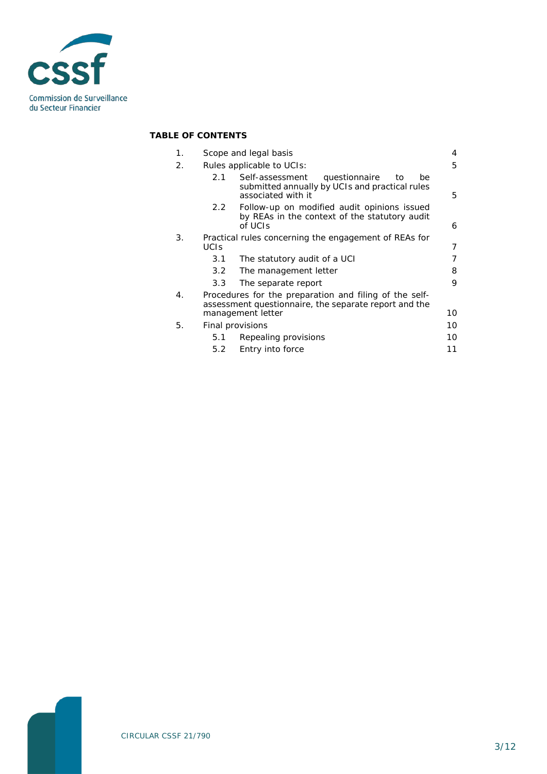

#### **TABLE OF CONTENTS**

| 1. | Scope and legal basis                                                                                           |                                                                                                                      | 4  |
|----|-----------------------------------------------------------------------------------------------------------------|----------------------------------------------------------------------------------------------------------------------|----|
| 2. | Rules applicable to UCIs:                                                                                       |                                                                                                                      | 5  |
|    | 2.1                                                                                                             | Self-assessment<br>questionnaire<br>to<br>be<br>submitted annually by UCIs and practical rules<br>associated with it | 5  |
|    | 2.2                                                                                                             | Follow-up on modified audit opinions issued<br>by REAs in the context of the statutory audit<br>of UCIs              | 6  |
| 3. | Practical rules concerning the engagement of REAs for<br><b>UCIS</b>                                            |                                                                                                                      | 7  |
|    | 3.1                                                                                                             | The statutory audit of a UCI                                                                                         |    |
|    | 3.2                                                                                                             | The management letter                                                                                                | 8  |
|    | 3.3                                                                                                             | The separate report                                                                                                  | 9  |
| 4. | Procedures for the preparation and filing of the self-<br>assessment questionnaire, the separate report and the |                                                                                                                      |    |
|    | management letter                                                                                               |                                                                                                                      | 10 |
| 5. | Final provisions                                                                                                |                                                                                                                      | 10 |
|    | 5.1                                                                                                             | Repealing provisions                                                                                                 | 10 |
|    | 5.2                                                                                                             | Entry into force                                                                                                     | 11 |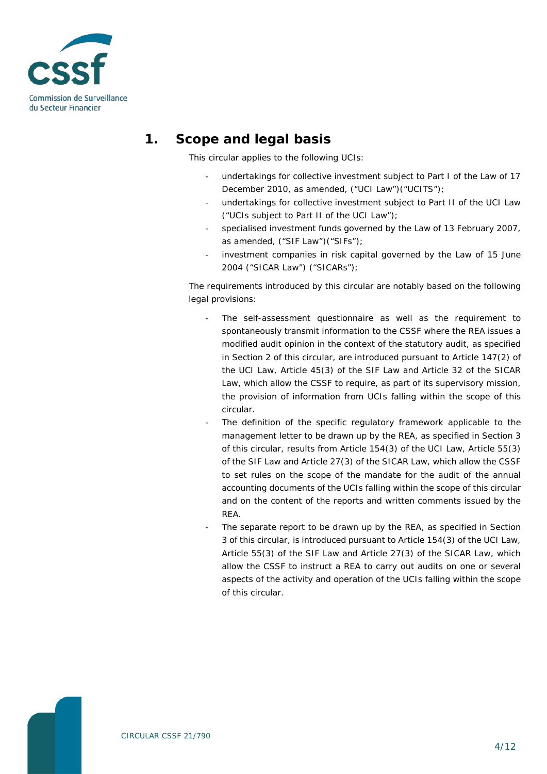

# **1. Scope and legal basis**

<span id="page-3-0"></span>This circular applies to the following UCIs:

- undertakings for collective investment subject to Part I of the Law of 17 December 2010, as amended, ("UCI Law")("UCITS");
- undertakings for collective investment subject to Part II of the UCI Law ("UCIs subject to Part II of the UCI Law");
- specialised investment funds governed by the Law of 13 February 2007, as amended, ("SIF Law")("SIFs");
- investment companies in risk capital governed by the Law of 15 June 2004 ("SICAR Law") ("SICARs");

The requirements introduced by this circular are notably based on the following legal provisions:

- The self-assessment questionnaire as well as the requirement to spontaneously transmit information to the CSSF where the REA issues a modified audit opinion in the context of the statutory audit, as specified in Section 2 of this circular, are introduced pursuant to Article 147(2) of the UCI Law, Article 45(3) of the SIF Law and Article 32 of the SICAR Law, which allow the CSSF to require, as part of its supervisory mission, the provision of information from UCIs falling within the scope of this circular.
- The definition of the specific regulatory framework applicable to the management letter to be drawn up by the REA, as specified in Section 3 of this circular, results from Article 154(3) of the UCI Law, Article 55(3) of the SIF Law and Article 27(3) of the SICAR Law, which allow the CSSF to set rules on the scope of the mandate for the audit of the annual accounting documents of the UCIs falling within the scope of this circular and on the content of the reports and written comments issued by the REA.
- The separate report to be drawn up by the REA, as specified in Section 3 of this circular, is introduced pursuant to Article 154(3) of the UCI Law, Article 55(3) of the SIF Law and Article 27(3) of the SICAR Law, which allow the CSSF to instruct a REA to carry out audits on one or several aspects of the activity and operation of the UCIs falling within the scope of this circular.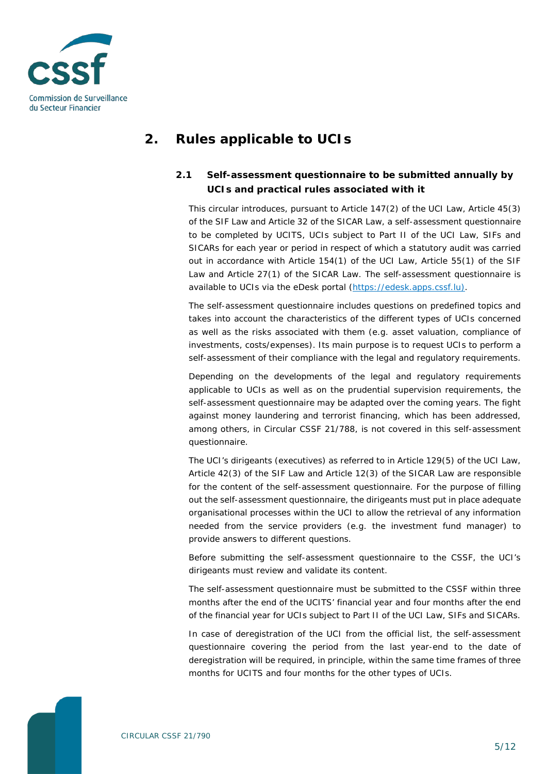

## <span id="page-4-0"></span>**2. Rules applicable to UCIs**

#### <span id="page-4-1"></span>**2.1 Self-assessment questionnaire to be submitted annually by UCIs and practical rules associated with it**

This circular introduces, pursuant to Article 147(2) of the UCI Law, Article 45(3) of the SIF Law and Article 32 of the SICAR Law, a self-assessment questionnaire to be completed by UCITS, UCIs subject to Part II of the UCI Law, SIFs and SICARs for each year or period in respect of which a statutory audit was carried out in accordance with Article 154(1) of the UCI Law, Article 55(1) of the SIF Law and Article 27(1) of the SICAR Law. The self-assessment questionnaire is available to UCIs via the eDesk portal [\(https://edesk.apps.cssf.lu\)](https://edesk.apps.cssf.lu/).

The self-assessment questionnaire includes questions on predefined topics and takes into account the characteristics of the different types of UCIs concerned as well as the risks associated with them (e.g. asset valuation, compliance of investments, costs/expenses). Its main purpose is to request UCIs to perform a self-assessment of their compliance with the legal and regulatory requirements.

Depending on the developments of the legal and regulatory requirements applicable to UCIs as well as on the prudential supervision requirements, the self-assessment questionnaire may be adapted over the coming years. The fight against money laundering and terrorist financing, which has been addressed, among others, in Circular CSSF 21/788, is not covered in this self-assessment questionnaire.

The UCI's *dirigeants* (executives) as referred to in Article 129(5) of the UCI Law, Article 42(3) of the SIF Law and Article 12(3) of the SICAR Law are responsible for the content of the self-assessment questionnaire. For the purpose of filling out the self-assessment questionnaire, the *dirigeants* must put in place adequate organisational processes within the UCI to allow the retrieval of any information needed from the service providers (e.g. the investment fund manager) to provide answers to different questions.

Before submitting the self-assessment questionnaire to the CSSF, the UCI's *dirigeants* must review and validate its content.

The self-assessment questionnaire must be submitted to the CSSF within three months after the end of the UCITS' financial year and four months after the end of the financial year for UCIs subject to Part II of the UCI Law, SIFs and SICARs.

In case of deregistration of the UCI from the official list, the self-assessment questionnaire covering the period from the last year-end to the date of deregistration will be required, in principle, within the same time frames of three months for UCITS and four months for the other types of UCIs.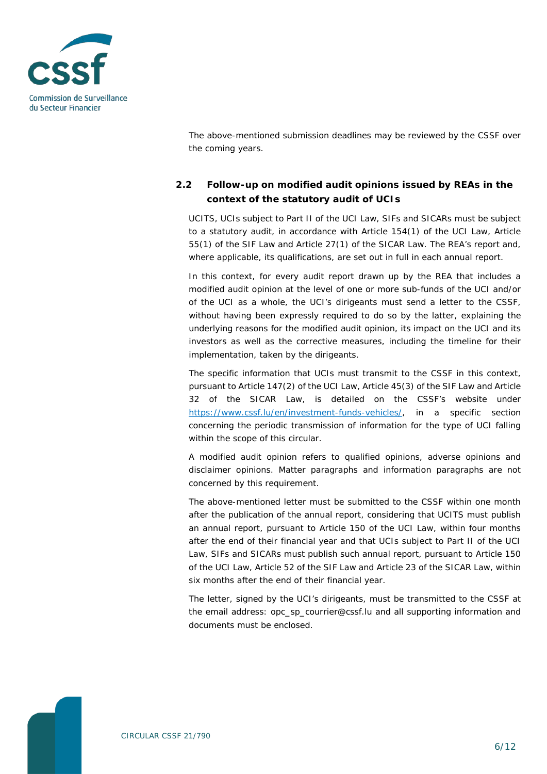

The above-mentioned submission deadlines may be reviewed by the CSSF over the coming years.

#### <span id="page-5-0"></span>**2.2 Follow-up on modified audit opinions issued by REAs in the context of the statutory audit of UCIs**

UCITS, UCIs subject to Part II of the UCI Law, SIFs and SICARs must be subject to a statutory audit, in accordance with Article 154(1) of the UCI Law, Article 55(1) of the SIF Law and Article 27(1) of the SICAR Law. The REA's report and, where applicable, its qualifications, are set out in full in each annual report.

In this context, for every audit report drawn up by the REA that includes a modified audit opinion at the level of one or more sub-funds of the UCI and/or of the UCI as a whole, the UCI's *dirigeants* must send a letter to the CSSF, without having been expressly required to do so by the latter, explaining the underlying reasons for the modified audit opinion, its impact on the UCI and its investors as well as the corrective measures, including the timeline for their implementation, taken by the *dirigeants*.

The specific information that UCIs must transmit to the CSSF in this context, pursuant to Article 147(2) of the UCI Law, Article 45(3) of the SIF Law and Article 32 of the SICAR Law, is detailed on the CSSF's website under [https://www.cssf.lu/en/investment-funds-vehicles/,](https://www.cssf.lu/en/investment-funds-vehicles/) in a specific section concerning the periodic transmission of information for the type of UCI falling within the scope of this circular.

A modified audit opinion refers to qualified opinions, adverse opinions and disclaimer opinions. Matter paragraphs and information paragraphs are not concerned by this requirement.

The above-mentioned letter must be submitted to the CSSF within one month after the publication of the annual report, considering that UCITS must publish an annual report, pursuant to Article 150 of the UCI Law, within four months after the end of their financial year and that UCIs subject to Part II of the UCI Law, SIFs and SICARs must publish such annual report, pursuant to Article 150 of the UCI Law, Article 52 of the SIF Law and Article 23 of the SICAR Law, within six months after the end of their financial year.

The letter, signed by the UCI's *dirigeants*, must be transmitted to the CSSF at the email address: opc\_sp\_courrier@cssf.lu and all supporting information and documents must be enclosed.

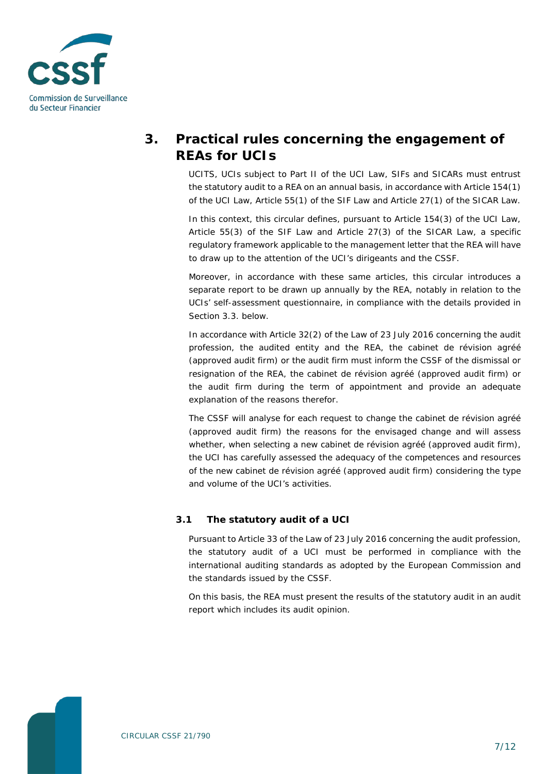

# <span id="page-6-0"></span>**3. Practical rules concerning the engagement of REAs for UCIs**

UCITS, UCIs subject to Part II of the UCI Law, SIFs and SICARs must entrust the statutory audit to a REA on an annual basis, in accordance with Article 154(1) of the UCI Law, Article 55(1) of the SIF Law and Article 27(1) of the SICAR Law.

In this context, this circular defines, pursuant to Article 154(3) of the UCI Law, Article 55(3) of the SIF Law and Article 27(3) of the SICAR Law, a specific regulatory framework applicable to the management letter that the REA will have to draw up to the attention of the UCI's *dirigeants* and the CSSF.

Moreover, in accordance with these same articles, this circular introduces a separate report to be drawn up annually by the REA, notably in relation to the UCIs' self-assessment questionnaire, in compliance with the details provided in Section 3.3. below.

In accordance with Article 32(2) of the Law of 23 July 2016 concerning the audit profession, the audited entity and the REA, the *cabinet de révision agréé* (approved audit firm) or the audit firm must inform the CSSF of the dismissal or resignation of the REA, the *cabinet de révision agréé* (approved audit firm) or the audit firm during the term of appointment and provide an adequate explanation of the reasons therefor.

The CSSF will analyse for each request to change the *cabinet de révision agréé* (approved audit firm) the reasons for the envisaged change and will assess whether, when selecting a new *cabinet de révision agréé* (approved audit firm), the UCI has carefully assessed the adequacy of the competences and resources of the new *cabinet de révision agréé* (approved audit firm) considering the type and volume of the UCI's activities.

#### <span id="page-6-1"></span>**3.1 The statutory audit of a UCI**

Pursuant to Article 33 of the Law of 23 July 2016 concerning the audit profession, the statutory audit of a UCI must be performed in compliance with the international auditing standards as adopted by the European Commission and the standards issued by the CSSF.

On this basis, the REA must present the results of the statutory audit in an audit report which includes its audit opinion.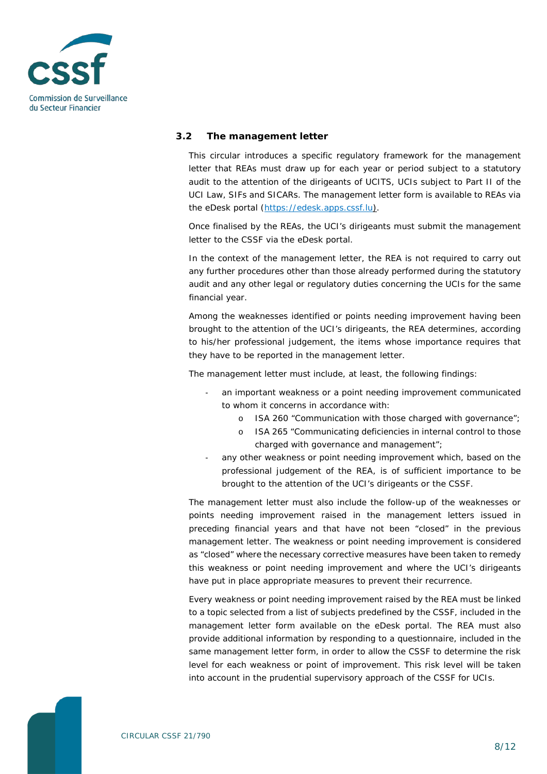

#### <span id="page-7-0"></span>**3.2 The management letter**

This circular introduces a specific regulatory framework for the management letter that REAs must draw up for each year or period subject to a statutory audit to the attention of the *dirigeants* of UCITS, UCIs subject to Part II of the UCI Law, SIFs and SICARs. The management letter form is available to REAs via the eDesk portal [\(https://edesk.apps.cssf.lu\)](https://edesk.apps.cssf.lu/).

Once finalised by the REAs, the UCI's *dirigeants* must submit the management letter to the CSSF via the eDesk portal.

In the context of the management letter, the REA is not required to carry out any further procedures other than those already performed during the statutory audit and any other legal or regulatory duties concerning the UCIs for the same financial year.

Among the weaknesses identified or points needing improvement having been brought to the attention of the UCI's *dirigeants*, the REA determines, according to his/her professional judgement, the items whose importance requires that they have to be reported in the management letter.

The management letter must include, at least, the following findings:

- an important weakness or a point needing improvement communicated to whom it concerns in accordance with:
	- o ISA 260 "Communication with those charged with governance";
	- o ISA 265 "Communicating deficiencies in internal control to those charged with governance and management";
- any other weakness or point needing improvement which, based on the professional judgement of the REA, is of sufficient importance to be brought to the attention of the UCI's *dirigeants* or the CSSF.

The management letter must also include the follow-up of the weaknesses or points needing improvement raised in the management letters issued in preceding financial years and that have not been "closed" in the previous management letter. The weakness or point needing improvement is considered as "closed" where the necessary corrective measures have been taken to remedy this weakness or point needing improvement and where the UCI's *dirigeants* have put in place appropriate measures to prevent their recurrence.

Every weakness or point needing improvement raised by the REA must be linked to a topic selected from a list of subjects predefined by the CSSF, included in the management letter form available on the eDesk portal. The REA must also provide additional information by responding to a questionnaire, included in the same management letter form, in order to allow the CSSF to determine the risk level for each weakness or point of improvement. This risk level will be taken into account in the prudential supervisory approach of the CSSF for UCIs.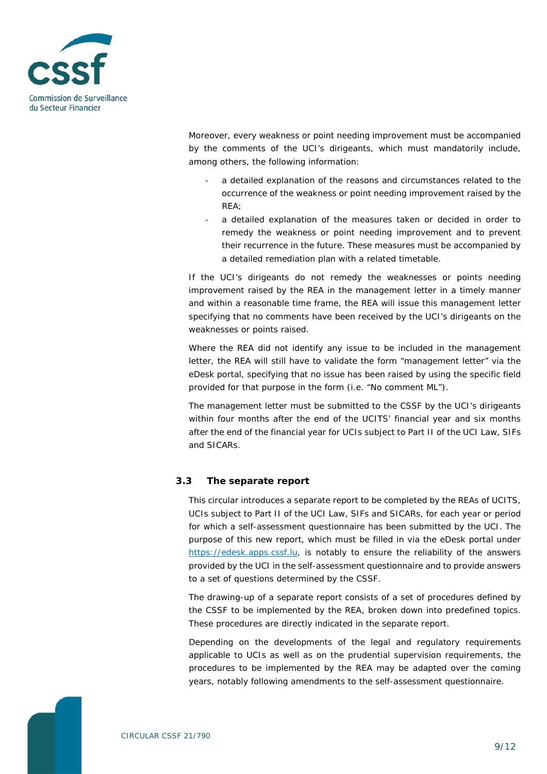

Moreover, every weakness or point needing improvement must be accompanied by the comments of the UCI's *dirigeants*, which must mandatorily include, among others, the following information:

- a detailed explanation of the reasons and circumstances related to the occurrence of the weakness or point needing improvement raised by the REA;
- a detailed explanation of the measures taken or decided in order to remedy the weakness or point needing improvement and to prevent their recurrence in the future. These measures must be accompanied by a detailed remediation plan with a related timetable.

If the UCI's *dirigeants* do not remedy the weaknesses or points needing improvement raised by the REA in the management letter in a timely manner and within a reasonable time frame, the REA will issue this management letter specifying that no comments have been received by the UCI's *dirigeants* on the weaknesses or points raised.

Where the REA did not identify any issue to be included in the management letter, the REA will still have to validate the form "management letter" via the eDesk portal, specifying that no issue has been raised by using the specific field provided for that purpose in the form (i.e. "No comment ML").

The management letter must be submitted to the CSSF by the UCI's *dirigeants* within four months after the end of the UCITS' financial year and six months after the end of the financial year for UCIs subject to Part II of the UCI Law, SIFs and SICARs.

#### <span id="page-8-0"></span>**3.3 The separate report**

This circular introduces a separate report to be completed by the REAs of UCITS, UCIs subject to Part II of the UCI Law, SIFs and SICARs, for each year or period for which a self-assessment questionnaire has been submitted by the UCI. The purpose of this new report, which must be filled in via the eDesk portal under [https://edesk.apps.cssf.lu,](https://edesk.apps.cssf.lu/) is notably to ensure the reliability of the answers provided by the UCI in the self-assessment questionnaire and to provide answers to a set of questions determined by the CSSF.

The drawing-up of a separate report consists of a set of procedures defined by the CSSF to be implemented by the REA, broken down into predefined topics. These procedures are directly indicated in the separate report.

Depending on the developments of the legal and regulatory requirements applicable to UCIs as well as on the prudential supervision requirements, the procedures to be implemented by the REA may be adapted over the coming years, notably following amendments to the self-assessment questionnaire.

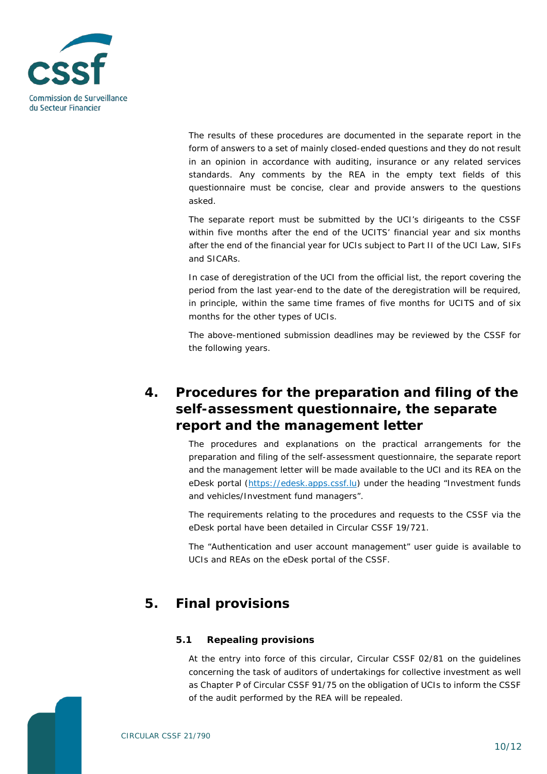

The results of these procedures are documented in the separate report in the form of answers to a set of mainly closed-ended questions and they do not result in an opinion in accordance with auditing, insurance or any related services standards. Any comments by the REA in the empty text fields of this questionnaire must be concise, clear and provide answers to the questions asked.

The separate report must be submitted by the UCI's *dirigeants* to the CSSF within five months after the end of the UCITS' financial year and six months after the end of the financial year for UCIs subject to Part II of the UCI Law, SIFs and SICARs.

In case of deregistration of the UCI from the official list, the report covering the period from the last year-end to the date of the deregistration will be required, in principle, within the same time frames of five months for UCITS and of six months for the other types of UCIs.

<span id="page-9-0"></span>The above-mentioned submission deadlines may be reviewed by the CSSF for the following years.

### **4. Procedures for the preparation and filing of the self-assessment questionnaire, the separate report and the management letter**

The procedures and explanations on the practical arrangements for the preparation and filing of the self-assessment questionnaire, the separate report and the management letter will be made available to the UCI and its REA on the eDesk portal [\(https://edesk.apps.cssf.lu\)](https://edesk.apps.cssf.lu/) under the heading "Investment funds and vehicles/Investment fund managers".

The requirements relating to the procedures and requests to the CSSF via the eDesk portal have been detailed in Circular CSSF 19/721.

<span id="page-9-1"></span>The "Authentication and user account management" user guide is available to UCIs and REAs on the eDesk portal of the CSSF.

### **5. Final provisions**

#### <span id="page-9-2"></span>**5.1 Repealing provisions**

At the entry into force of this circular, Circular CSSF 02/81 on the guidelines concerning the task of auditors of undertakings for collective investment as well as Chapter P of Circular CSSF 91/75 on the obligation of UCIs to inform the CSSF of the audit performed by the REA will be repealed.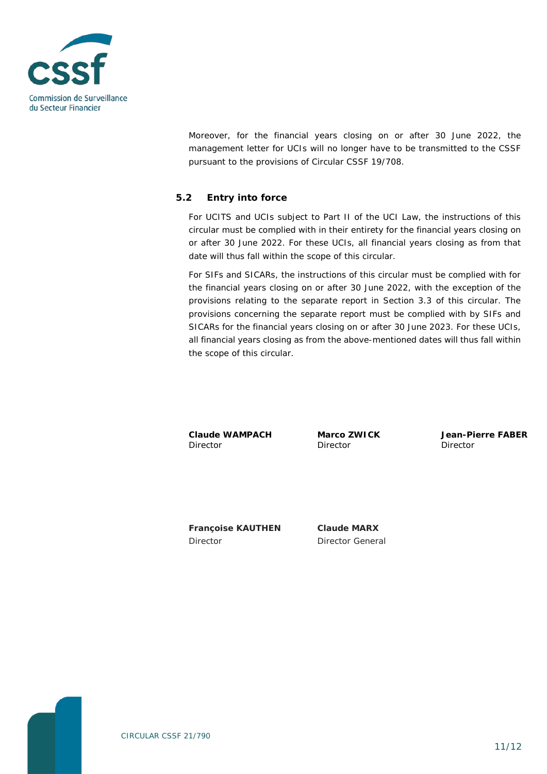

Moreover, for the financial years closing on or after 30 June 2022, the management letter for UCIs will no longer have to be transmitted to the CSSF pursuant to the provisions of Circular CSSF 19/708.

#### <span id="page-10-0"></span>**5.2 Entry into force**

For UCITS and UCIs subject to Part II of the UCI Law, the instructions of this circular must be complied with in their entirety for the financial years closing on or after 30 June 2022. For these UCIs, all financial years closing as from that date will thus fall within the scope of this circular.

For SIFs and SICARs, the instructions of this circular must be complied with for the financial years closing on or after 30 June 2022, with the exception of the provisions relating to the separate report in Section 3.3 of this circular. The provisions concerning the separate report must be complied with by SIFs and SICARs for the financial years closing on or after 30 June 2023. For these UCIs, all financial years closing as from the above-mentioned dates will thus fall within the scope of this circular.

**Claude WAMPACH** Director

**Marco ZWICK** Director

**Jean-Pierre FABER** Director

**Françoise KAUTHEN** Director

**Claude MARX** Director General